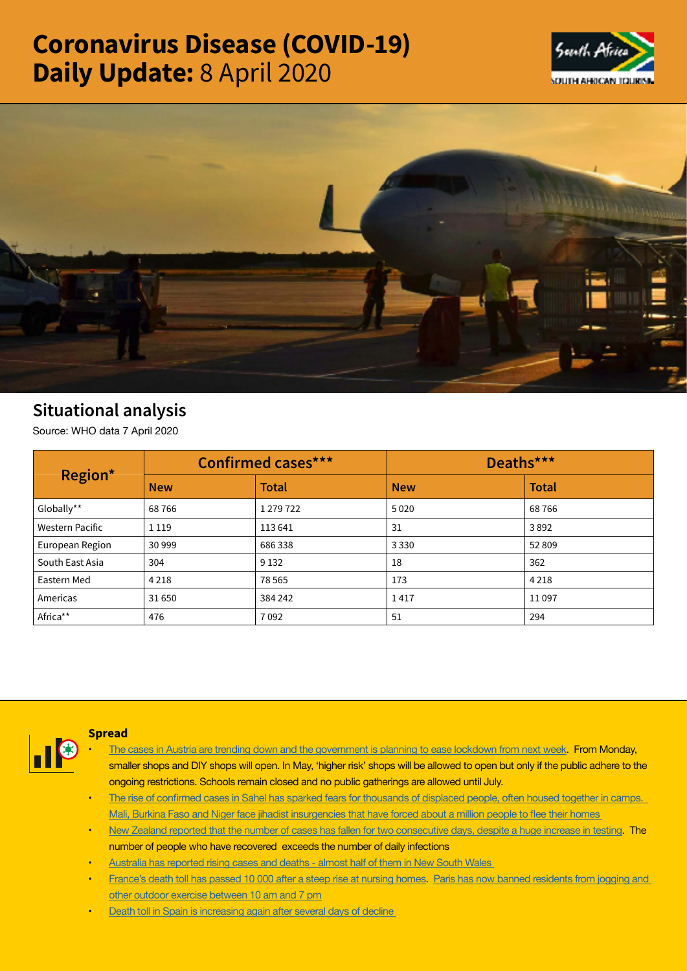# Coronavirus Disease (COVID-19) Daily Update: 8 April 2020





# Situational analysis

Source: WHO data 7 April 2020

| Region*                | <b>Confirmed cases***</b> |              | Deaths***  |              |
|------------------------|---------------------------|--------------|------------|--------------|
|                        | <b>New</b>                | <b>Total</b> | <b>New</b> | <b>Total</b> |
| Globally**             | 68766                     | 1 279 722    | 5020       | 68766        |
| <b>Western Pacific</b> | 1 1 1 9                   | 113641       | 31         | 3892         |
| European Region        | 30 999                    | 686338       | 3 3 3 0    | 52 809       |
| South East Asia        | 304                       | 9 1 3 2      | 18         | 362          |
| Eastern Med            | 4 2 1 8                   | 78 5 65      | 173        | 4 2 1 8      |
| Americas               | 31 650                    | 384 242      | 1417       | 11097        |
| Africa**               | 476                       | 7092         | 51         | 294          |



## **Spread**

- The cases in Austria are trending down and the [government](https://t.co/Mdq41IjNjh?amp=1) is planning to ease lockdown from next week. From Monday, smaller shops and DIY shops will open. In May, 'higher risk' shops will be allowed to open but only if the public adhere to the **ongoing restrictions. Schools remain closed and no public gatherings are allowed until July.**
- The rise of confirmed cases in Sahel has sparked fears for [thousands](https://t.co/kcQQbGjv91?amp=1) of displaced people, often housed together in camps. Mali, Burkina Faso and Niger face jihadist [insurgencies](https://t.co/kcQQbGjv91?amp=1) that have forced about a million people to flee their homes
- New Zealand reported that the number of cases has fallen for two [consecutive](https://t.co/xbQFd209PR?amp=1) days, despite a huge increase in testing. The **number of people who have recovered exceeds the number of daily infections**
- **• Australia has [reported](https://t.co/hJIYUJJjVx?amp=1) rising cases and deaths - almost half of them in New South Wales**
- [France's](https://t.co/wrp0F0Mz3S?amp=1) death toll has passed 10 000 after a steep rise at nursing homes. Paris has now banned [residents](https://t.co/Qw9Es6vnwd?amp=1) from jogging and **other outdoor exercise [between](https://t.co/Qw9Es6vnwd?amp=1) 10 am and 7 pm**
- **• Death toll in Spain is [increasing](https://t.co/wPnZUkTutL?amp=1) again after several days of decline**